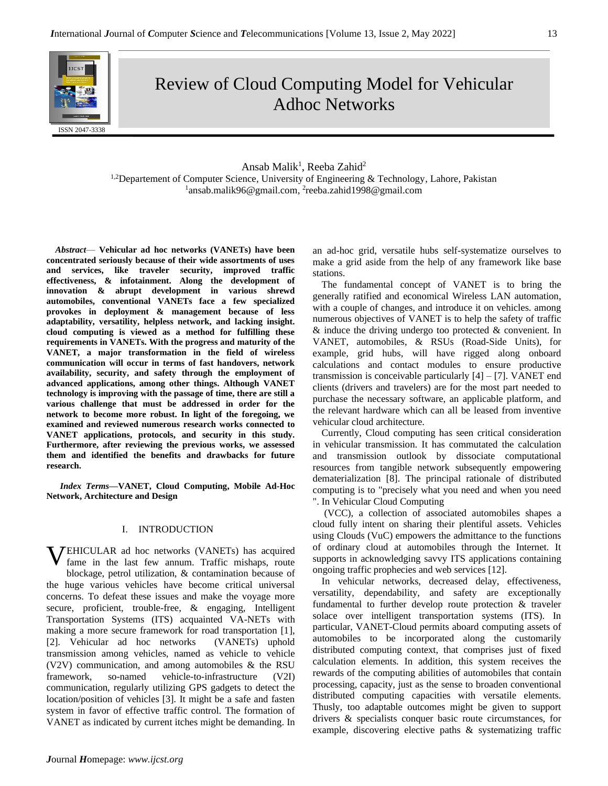

Review of Cloud Computing Model for Vehicular Adhoc Networks

Ansab Malik<sup>1</sup>, Reeba Zahid<sup>2</sup> <sup>1,2</sup>Departement of Computer Science, University of Engineering & Technology, Lahore, Pakistan <sup>1</sup>ansab.malik96@gmail.com, <sup>2</sup>reeba.zahid1998@gmail.com

*Abstract*— **Vehicular ad hoc networks (VANETs) have been concentrated seriously because of their wide assortments of uses and services, like traveler security, improved traffic effectiveness, & infotainment. Along the development of innovation & abrupt development in various shrewd automobiles, conventional VANETs face a few specialized provokes in deployment & management because of less adaptability, versatility, helpless network, and lacking insight. cloud computing is viewed as a method for fulfilling these requirements in VANETs. With the progress and maturity of the VANET, a major transformation in the field of wireless communication will occur in terms of fast handovers, network availability, security, and safety through the employment of advanced applications, among other things. Although VANET technology is improving with the passage of time, there are still a various challenge that must be addressed in order for the network to become more robust. In light of the foregoing, we examined and reviewed numerous research works connected to VANET applications, protocols, and security in this study. Furthermore, after reviewing the previous works, we assessed them and identified the benefits and drawbacks for future research.**

*Index Terms—***VANET, Cloud Computing, Mobile Ad-Hoc Network, Architecture and Design**

# I. INTRODUCTION

**VEHICULAR** ad hoc networks (VANETs) has acquired fame in the last few annum. Traffic mishaps, route fame in the last few annum. Traffic mishaps, route blockage, petrol utilization, & contamination because of the huge various vehicles have become critical universal concerns. To defeat these issues and make the voyage more secure, proficient, trouble-free, & engaging, Intelligent Transportation Systems (ITS) acquainted VA-NETs with making a more secure framework for road transportation [1], [2]. Vehicular ad hoc networks (VANETs) uphold transmission among vehicles, named as vehicle to vehicle (V2V) communication, and among automobiles & the RSU framework, so-named vehicle-to-infrastructure (V2I) communication, regularly utilizing GPS gadgets to detect the location/position of vehicles [3]. It might be a safe and fasten system in favor of effective traffic control. The formation of VANET as indicated by current itches might be demanding. In

an ad-hoc grid, versatile hubs self-systematize ourselves to make a grid aside from the help of any framework like base stations.

The fundamental concept of VANET is to bring the generally ratified and economical Wireless LAN automation, with a couple of changes, and introduce it on vehicles. among numerous objectives of VANET is to help the safety of traffic & induce the driving undergo too protected & convenient. In VANET, automobiles, & RSUs (Road-Side Units), for example, grid hubs, will have rigged along onboard calculations and contact modules to ensure productive transmission is conceivable particularly  $[4] - [7]$ . VANET end clients (drivers and travelers) are for the most part needed to purchase the necessary software, an applicable platform, and the relevant hardware which can all be leased from inventive vehicular cloud architecture.

Currently, Cloud computing has seen critical consideration in vehicular transmission. It has commutated the calculation and transmission outlook by dissociate computational resources from tangible network subsequently empowering dematerialization [8]. The principal rationale of distributed computing is to "precisely what you need and when you need ". In Vehicular Cloud Computing

(VCC), a collection of associated automobiles shapes a cloud fully intent on sharing their plentiful assets. Vehicles using Clouds (VuC) empowers the admittance to the functions of ordinary cloud at automobiles through the Internet. It supports in acknowledging savvy ITS applications containing ongoing traffic prophecies and web services [12].

In vehicular networks, decreased delay, effectiveness, versatility, dependability, and safety are exceptionally fundamental to further develop route protection & traveler solace over intelligent transportation systems (ITS). In particular, VANET-Cloud permits aboard computing assets of automobiles to be incorporated along the customarily distributed computing context, that comprises just of fixed calculation elements. In addition, this system receives the rewards of the computing abilities of automobiles that contain processing, capacity, just as the sense to broaden conventional distributed computing capacities with versatile elements. Thusly, too adaptable outcomes might be given to support drivers & specialists conquer basic route circumstances, for example, discovering elective paths & systematizing traffic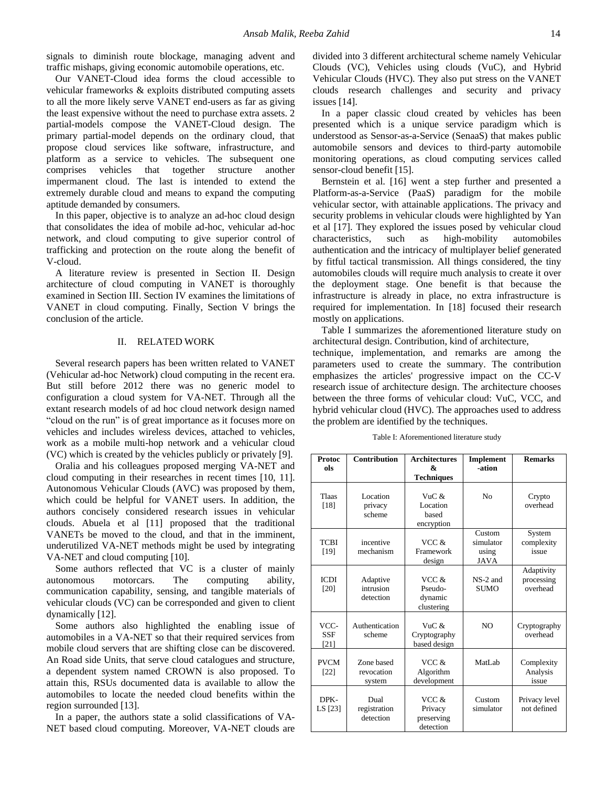signals to diminish route blockage, managing advent and traffic mishaps, giving economic automobile operations, etc.

Our VANET-Cloud idea forms the cloud accessible to vehicular frameworks & exploits distributed computing assets to all the more likely serve VANET end-users as far as giving the least expensive without the need to purchase extra assets. 2 partial-models compose the VANET-Cloud design. The primary partial-model depends on the ordinary cloud, that propose cloud services like software, infrastructure, and platform as a service to vehicles. The subsequent one comprises vehicles that together structure another impermanent cloud. The last is intended to extend the extremely durable cloud and means to expand the computing aptitude demanded by consumers.

In this paper, objective is to analyze an ad-hoc cloud design that consolidates the idea of mobile ad-hoc, vehicular ad-hoc network, and cloud computing to give superior control of trafficking and protection on the route along the benefit of V-cloud.

A literature review is presented in Section II. Design architecture of cloud computing in VANET is thoroughly examined in Section III. Section IV examines the limitations of VANET in cloud computing. Finally, Section V brings the conclusion of the article.

### II. RELATED WORK

Several research papers has been written related to VANET (Vehicular ad-hoc Network) cloud computing in the recent era. But still before 2012 there was no generic model to configuration a cloud system for VA-NET. Through all the extant research models of ad hoc cloud network design named "cloud on the run" is of great importance as it focuses more on vehicles and includes wireless devices, attached to vehicles, work as a mobile multi-hop network and a vehicular cloud (VC) which is created by the vehicles publicly or privately [9].

Oralia and his colleagues proposed merging VA-NET and cloud computing in their researches in recent times [10, 11]. Autonomous Vehicular Clouds (AVC) was proposed by them, which could be helpful for VANET users. In addition, the authors concisely considered research issues in vehicular clouds. Abuela et al [11] proposed that the traditional VANETs be moved to the cloud, and that in the imminent, underutilized VA-NET methods might be used by integrating VA-NET and cloud computing [10].

Some authors reflected that VC is a cluster of mainly autonomous motorcars. The computing ability, communication capability, sensing, and tangible materials of vehicular clouds (VC) can be corresponded and given to client dynamically [12].

Some authors also highlighted the enabling issue of automobiles in a VA-NET so that their required services from mobile cloud servers that are shifting close can be discovered. An Road side Units, that serve cloud catalogues and structure, a dependent system named CROWN is also proposed. To attain this, RSUs documented data is available to allow the automobiles to locate the needed cloud benefits within the region surrounded [13].

In a paper, the authors state a solid classifications of VA-NET based cloud computing. Moreover, VA-NET clouds are divided into 3 different architectural scheme namely Vehicular Clouds (VC), Vehicles using clouds (VuC), and Hybrid Vehicular Clouds (HVC). They also put stress on the VANET clouds research challenges and security and privacy issues [14].

In a paper classic cloud created by vehicles has been presented which is a unique service paradigm which is understood as Sensor-as-a-Service (SenaaS) that makes public automobile sensors and devices to third-party automobile monitoring operations, as cloud computing services called sensor-cloud benefit [15].

Bernstein et al. [16] went a step further and presented a Platform-as-a-Service (PaaS) paradigm for the mobile vehicular sector, with attainable applications. The privacy and security problems in vehicular clouds were highlighted by Yan et al [17]. They explored the issues posed by vehicular cloud characteristics, such as high-mobility automobiles authentication and the intricacy of multiplayer belief generated by fitful tactical transmission. All things considered, the tiny automobiles clouds will require much analysis to create it over the deployment stage. One benefit is that because the infrastructure is already in place, no extra infrastructure is required for implementation. In [18] focused their research mostly on applications.

Table I summarizes the aforementioned literature study on architectural design. Contribution, kind of architecture,

technique, implementation, and remarks are among the parameters used to create the summary. The contribution emphasizes the articles' progressive impact on the CC-V research issue of architecture design. The architecture chooses between the three forms of vehicular cloud: VuC, VCC, and hybrid vehicular cloud (HVC). The approaches used to address the problem are identified by the techniques.

| Table I: Aforementioned literature study |  |
|------------------------------------------|--|
|------------------------------------------|--|

| Protoc<br>ols              | <b>Contribution</b>                | <b>Architectures</b><br>&<br><b>Techniques</b> | <b>Implement</b><br>-ation                  | <b>Remarks</b>                       |
|----------------------------|------------------------------------|------------------------------------------------|---------------------------------------------|--------------------------------------|
| <b>Tlaas</b><br>[18]       | Location<br>privacy<br>scheme      | VuC &<br>Location<br>based<br>encryption       | No                                          | Crypto<br>overhead                   |
| <b>TCBI</b><br>[19]        | incentive<br>mechanism             | VCC &<br>Framework<br>design                   | Custom<br>simulator<br>using<br><b>JAVA</b> | System<br>complexity<br>issue        |
| <b>ICDI</b><br>[20]        | Adaptive<br>intrusion<br>detection | VCC &<br>Pseudo-<br>dynamic<br>clustering      | NS-2 and<br><b>SUMO</b>                     | Adaptivity<br>processing<br>overhead |
| VCC-<br><b>SSF</b><br>[21] | Authentication<br>scheme           | VuC &<br>Cryptography<br>based design          | N <sub>O</sub>                              | Cryptography<br>overhead             |
| <b>PVCM</b><br>$[22]$      | Zone based<br>revocation<br>system | VCC &<br>Algorithm<br>development              | MatLab                                      | Complexity<br>Analysis<br>issue      |
| DPK-<br>LS [23]            | Dual<br>registration<br>detection  | VCC &<br>Privacy<br>preserving<br>detection    | Custom<br>simulator                         | Privacy level<br>not defined         |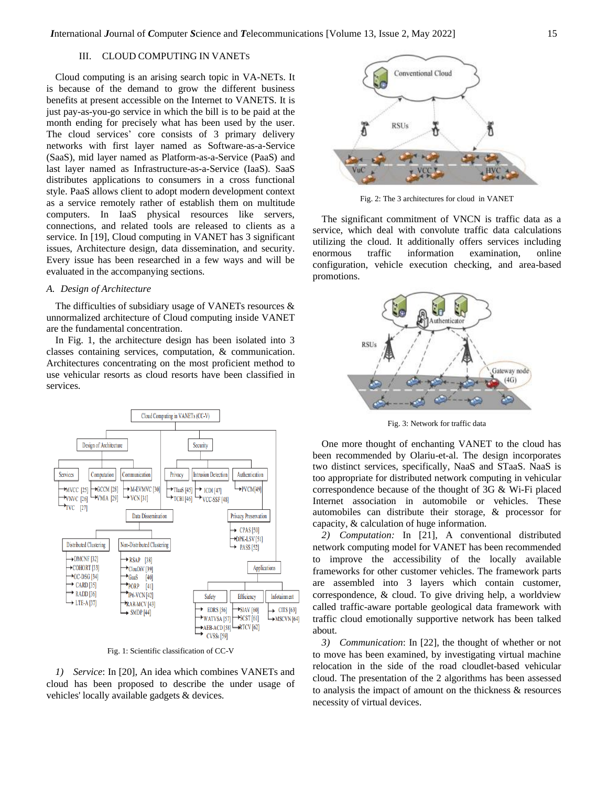# III. CLOUD COMPUTING IN VANETS

Cloud computing is an arising search topic in VA-NETs. It is because of the demand to grow the different business benefits at present accessible on the Internet to VANETS. It is just pay-as-you-go service in which the bill is to be paid at the month ending for precisely what has been used by the user. The cloud services' core consists of 3 primary delivery networks with first layer named as Software-as-a-Service (SaaS), mid layer named as Platform-as-a-Service (PaaS) and last layer named as Infrastructure-as-a-Service (IaaS). SaaS distributes applications to consumers in a cross functional style. PaaS allows client to adopt modern development context as a service remotely rather of establish them on multitude computers. In IaaS physical resources like servers, connections, and related tools are released to clients as a service. In [19], Cloud computing in VANET has 3 significant issues, Architecture design, data dissemination, and security. Every issue has been researched in a few ways and will be evaluated in the accompanying sections.

## *A. Design of Architecture*

The difficulties of subsidiary usage of VANETs resources & unnormalized architecture of Cloud computing inside VANET are the fundamental concentration.

In Fig. 1, the architecture design has been isolated into 3 classes containing services, computation, & communication. Architectures concentrating on the most proficient method to use vehicular resorts as cloud resorts have been classified in services.



Fig. 1: Scientific classification of CC-V

*1) Service*: In [20], An idea which combines VANETs and cloud has been proposed to describe the under usage of vehicles' locally available gadgets & devices.



Fig. 2: The 3 architectures for cloud in VANET

The significant commitment of VNCN is traffic data as a service, which deal with convolute traffic data calculations utilizing the cloud. It additionally offers services including enormous traffic information examination, online configuration, vehicle execution checking, and area-based promotions.



Fig. 3: Network for traffic data

One more thought of enchanting VANET to the cloud has been recommended by Olariu-et-al. The design incorporates two distinct services, specifically, NaaS and STaaS. NaaS is too appropriate for distributed network computing in vehicular correspondence because of the thought of 3G & Wi-Fi placed Internet association in automobile or vehicles. These automobiles can distribute their storage, & processor for capacity, & calculation of huge information.

*2) Computation:* In [21], A conventional distributed network computing model for VANET has been recommended to improve the accessibility of the locally available frameworks for other customer vehicles. The framework parts are assembled into 3 layers which contain customer, correspondence, & cloud. To give driving help, a worldview called traffic-aware portable geological data framework with traffic cloud emotionally supportive network has been talked about.

*3) Communication*: In [22], the thought of whether or not to move has been examined, by investigating virtual machine relocation in the side of the road cloudlet-based vehicular cloud. The presentation of the 2 algorithms has been assessed to analysis the impact of amount on the thickness & resources necessity of virtual devices.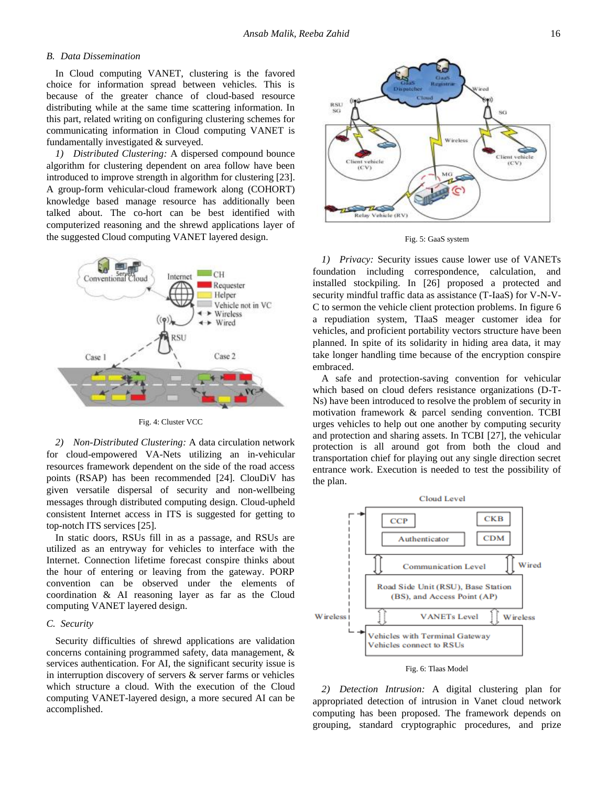## *B. Data Dissemination*

In Cloud computing VANET, clustering is the favored choice for information spread between vehicles. This is because of the greater chance of cloud-based resource distributing while at the same time scattering information. In this part, related writing on configuring clustering schemes for communicating information in Cloud computing VANET is fundamentally investigated & surveyed.

*1) Distributed Clustering:* A dispersed compound bounce algorithm for clustering dependent on area follow have been introduced to improve strength in algorithm for clustering [23]. A group-form vehicular-cloud framework along (COHORT) knowledge based manage resource has additionally been talked about. The co-hort can be best identified with computerized reasoning and the shrewd applications layer of the suggested Cloud computing VANET layered design.



Fig. 4: Cluster VCC

*2) Non-Distributed Clustering:* A data circulation network for cloud-empowered VA-Nets utilizing an in-vehicular resources framework dependent on the side of the road access points (RSAP) has been recommended [24]. ClouDiV has given versatile dispersal of security and non-wellbeing messages through distributed computing design. Cloud-upheld consistent Internet access in ITS is suggested for getting to top-notch ITS services [25].

In static doors, RSUs fill in as a passage, and RSUs are utilized as an entryway for vehicles to interface with the Internet. Connection lifetime forecast conspire thinks about the hour of entering or leaving from the gateway. PORP convention can be observed under the elements of coordination & AI reasoning layer as far as the Cloud computing VANET layered design.

## *C. Security*

Security difficulties of shrewd applications are validation concerns containing programmed safety, data management, & services authentication. For AI, the significant security issue is in interruption discovery of servers  $\&$  server farms or vehicles which structure a cloud. With the execution of the Cloud computing VANET-layered design, a more secured AI can be accomplished.



Fig. 5: GaaS system

*1) Privacy:* Security issues cause lower use of VANETs foundation including correspondence, calculation, and installed stockpiling. In [26] proposed a protected and security mindful traffic data as assistance (T-IaaS) for V-N-V-C to sermon the vehicle client protection problems. In figure 6 a repudiation system, TIaaS meager customer idea for vehicles, and proficient portability vectors structure have been planned. In spite of its solidarity in hiding area data, it may take longer handling time because of the encryption conspire embraced.

A safe and protection-saving convention for vehicular which based on cloud defers resistance organizations (D-T-Ns) have been introduced to resolve the problem of security in motivation framework & parcel sending convention. TCBI urges vehicles to help out one another by computing security and protection and sharing assets. In TCBI [27], the vehicular protection is all around got from both the cloud and transportation chief for playing out any single direction secret entrance work. Execution is needed to test the possibility of the plan.



*2) Detection Intrusion:* A digital clustering plan for appropriated detection of intrusion in Vanet cloud network computing has been proposed. The framework depends on grouping, standard cryptographic procedures, and prize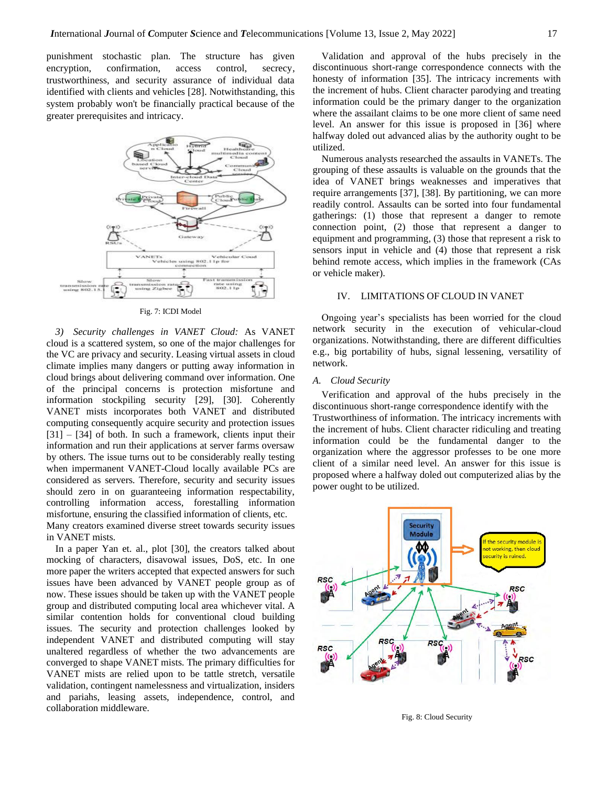punishment stochastic plan. The structure has given encryption, confirmation, access control, secrecy, trustworthiness, and security assurance of individual data identified with clients and vehicles [28]. Notwithstanding, this system probably won't be financially practical because of the greater prerequisites and intricacy.



Fig. 7: ICDI Model

*3) Security challenges in VANET Cloud:* As VANET cloud is a scattered system, so one of the major challenges for the VC are privacy and security. Leasing virtual assets in cloud climate implies many dangers or putting away information in cloud brings about delivering command over information. One of the principal concerns is protection misfortune and information stockpiling security [29], [30]. Coherently VANET mists incorporates both VANET and distributed computing consequently acquire security and protection issues [31] – [34] of both. In such a framework, clients input their information and run their applications at server farms oversaw by others. The issue turns out to be considerably really testing when impermanent VANET-Cloud locally available PCs are considered as servers. Therefore, security and security issues should zero in on guaranteeing information respectability, controlling information access, forestalling information misfortune, ensuring the classified information of clients, etc. Many creators examined diverse street towards security issues in VANET mists.

In a paper Yan et. al., plot [30], the creators talked about mocking of characters, disavowal issues, DoS, etc. In one more paper the writers accepted that expected answers for such issues have been advanced by VANET people group as of now. These issues should be taken up with the VANET people group and distributed computing local area whichever vital. A similar contention holds for conventional cloud building issues. The security and protection challenges looked by independent VANET and distributed computing will stay unaltered regardless of whether the two advancements are converged to shape VANET mists. The primary difficulties for VANET mists are relied upon to be tattle stretch, versatile validation, contingent namelessness and virtualization, insiders and pariahs, leasing assets, independence, control, and collaboration middleware.

Validation and approval of the hubs precisely in the discontinuous short-range correspondence connects with the honesty of information [35]. The intricacy increments with the increment of hubs. Client character parodying and treating information could be the primary danger to the organization where the assailant claims to be one more client of same need level. An answer for this issue is proposed in [36] where halfway doled out advanced alias by the authority ought to be utilized.

Numerous analysts researched the assaults in VANETs. The grouping of these assaults is valuable on the grounds that the idea of VANET brings weaknesses and imperatives that require arrangements [37], [38]. By partitioning, we can more readily control. Assaults can be sorted into four fundamental gatherings: (1) those that represent a danger to remote connection point, (2) those that represent a danger to equipment and programming, (3) those that represent a risk to sensors input in vehicle and (4) those that represent a risk behind remote access, which implies in the framework (CAs or vehicle maker).

## IV. LIMITATIONS OF CLOUD IN VANET

Ongoing year's specialists has been worried for the cloud network security in the execution of vehicular-cloud organizations. Notwithstanding, there are different difficulties e.g., big portability of hubs, signal lessening, versatility of network.

## *A. Cloud Security*

Verification and approval of the hubs precisely in the discontinuous short-range correspondence identify with the Trustworthiness of information. The intricacy increments with the increment of hubs. Client character ridiculing and treating information could be the fundamental danger to the organization where the aggressor professes to be one more client of a similar need level. An answer for this issue is proposed where a halfway doled out computerized alias by the power ought to be utilized.



Fig. 8: Cloud Security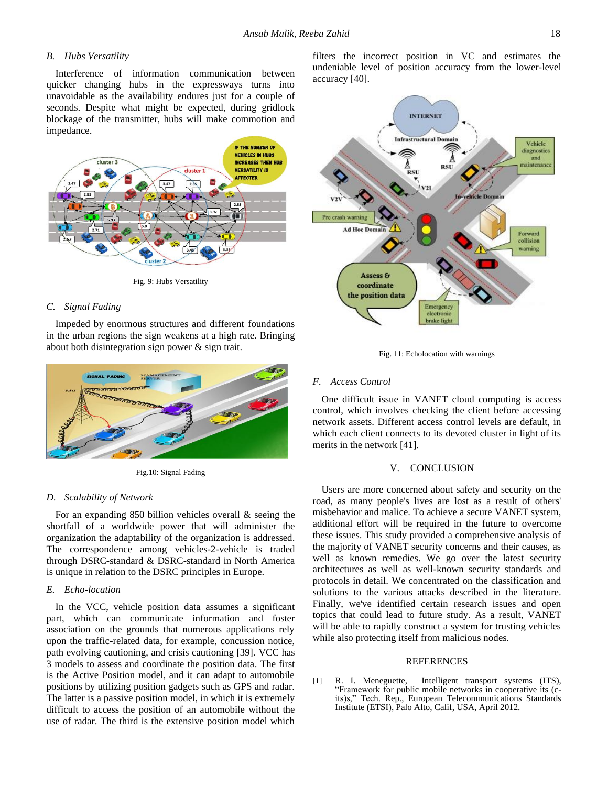## *B. Hubs Versatility*

Interference of information communication between quicker changing hubs in the expressways turns into unavoidable as the availability endures just for a couple of seconds. Despite what might be expected, during gridlock blockage of the transmitter, hubs will make commotion and impedance.



Fig. 9: Hubs Versatility

## *C. Signal Fading*

Impeded by enormous structures and different foundations in the urban regions the sign weakens at a high rate. Bringing about both disintegration sign power & sign trait.



Fig.10: Signal Fading

#### *D. Scalability of Network*

For an expanding 850 billion vehicles overall & seeing the shortfall of a worldwide power that will administer the organization the adaptability of the organization is addressed. The correspondence among vehicles-2-vehicle is traded through DSRC-standard & DSRC-standard in North America is unique in relation to the DSRC principles in Europe.

## *E. Echo-location*

In the VCC, vehicle position data assumes a significant part, which can communicate information and foster association on the grounds that numerous applications rely upon the traffic-related data, for example, concussion notice, path evolving cautioning, and crisis cautioning [39]. VCC has 3 models to assess and coordinate the position data. The first is the Active Position model, and it can adapt to automobile positions by utilizing position gadgets such as GPS and radar. The latter is a passive position model, in which it is extremely difficult to access the position of an automobile without the use of radar. The third is the extensive position model which filters the incorrect position in VC and estimates the undeniable level of position accuracy from the lower-level accuracy [40].



Fig. 11: Echolocation with warnings

## *F. Access Control*

One difficult issue in VANET cloud computing is access control, which involves checking the client before accessing network assets. Different access control levels are default, in which each client connects to its devoted cluster in light of its merits in the network [41].

#### V. CONCLUSION

Users are more concerned about safety and security on the road, as many people's lives are lost as a result of others' misbehavior and malice. To achieve a secure VANET system, additional effort will be required in the future to overcome these issues. This study provided a comprehensive analysis of the majority of VANET security concerns and their causes, as well as known remedies. We go over the latest security architectures as well as well-known security standards and protocols in detail. We concentrated on the classification and solutions to the various attacks described in the literature. Finally, we've identified certain research issues and open topics that could lead to future study. As a result, VANET will be able to rapidly construct a system for trusting vehicles while also protecting itself from malicious nodes.

## REFERENCES

[1] R. I. Meneguette, Intelligent transport systems (ITS), "Framework for public mobile networks in cooperative its (cits)s," Tech. Rep., European Telecommunications Standards Institute (ETSI), Palo Alto, Calif, USA, April 2012.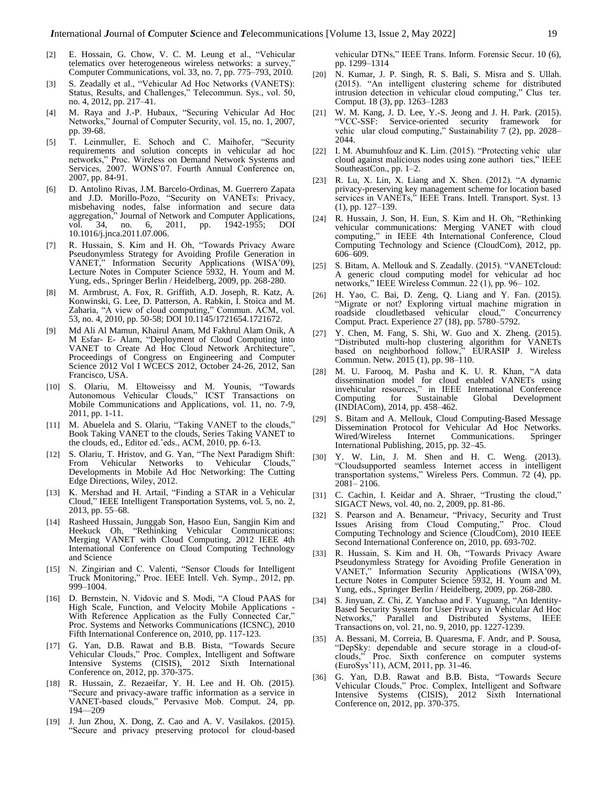- [2] E. Hossain, G. Chow, V. C. M. Leung et al., "Vehicular telematics over heterogeneous wireless networks: a survey,' Computer Communications, vol. 33, no. 7, pp. 775–793, 2010.
- [3] S. Zeadally et al., "Vehicular Ad Hoc Networks (VANETS): Status, Results, and Challenges," Telecommun. Sys., vol. 50, no. 4, 2012, pp. 217–41.
- [4] M. Raya and J.-P. Hubaux, "Securing Vehicular Ad Hoc Networks," Journal of Computer Security, vol. 15, no. 1, 2007, pp. 39-68.
- [5] T. Leinmuller, E. Schoch and C. Maihofer, "Security requirements and solution concepts in vehicular ad hoc networks," Proc. Wireless on Demand Network Systems and Services, 2007. WONS'07. Fourth Annual Conference on, 2007, pp. 84-91.
- [6] D. Antolino Rivas, J.M. Barcelo-Ordinas, M. Guerrero Zapata and J.D. Morillo-Pozo, "Security on VANETs: Privacy, misbehaving nodes, false information and secure data aggregation," Journal of Network and Computer Applications, vol. 34, no. 6, 2011, pp. 1942-1955; DOI 10.1016/j.jnca.2011.07.006.
- [7] R. Hussain, S. Kim and H. Oh, "Towards Privacy Aware Pseudonymless Strategy for Avoiding Profile Generation in VANET," Information Security Applications (WISA'09), Lecture Notes in Computer Science 5932, H. Youm and M. Yung, eds., Springer Berlin / Heidelberg, 2009, pp. 268-280.
- [8] M. Armbrust, A. Fox, R. Griffith, A.D. Joseph, R. Katz, A. Konwinski, G. Lee, D. Patterson, A. Rabkin, I. Stoica and M. Zaharia, "A view of cloud computing," Commun. ACM, vol. 53, no. 4, 2010, pp. 50-58; DOI 10.1145/1721654.1721672.
- [9] Md Ali Al Mamun, Khairul Anam, Md Fakhrul Alam Onik, A M Esfar- E- Alam, "Deployment of Cloud Computing into VANET to Create Ad Hoc Cloud Network Architecture", Proceedings of Congress on Engineering and Computer Science 2012 Vol I WCECS 2012, October 24-26, 2012, San Francisco, USA.
- [10] S. Olariu, M. Eltoweissy and M. Younis, "Towards Autonomous Vehicular Clouds," ICST Transactions on Mobile Communications and Applications, vol. 11, no. 7-9, 2011, pp. 1-11.
- [11] M. Abuelela and S. Olariu, "Taking VANET to the clouds," Book Taking VANET to the clouds, Series Taking VANET to the clouds, ed., Editor ed.ˆeds., ACM, 2010, pp. 6-13.
- [12] S. Olariu, T. Hristov, and G. Yan, "The Next Paradigm Shift: From Vehicular Networks to Vehicular Clouds," Developments in Mobile Ad Hoc Networking: The Cutting Edge Directions, Wiley, 2012.
- [13] K. Mershad and H. Artail, "Finding a STAR in a Vehicular Cloud," IEEE Intelligent Transportation Systems, vol. 5, no. 2, 2013, pp. 55–68.
- [14] Rasheed Hussain, Junggab Son, Hasoo Eun, Sangjin Kim and Heekuck Oh, "Rethinking Vehicular Communications: Merging VANET with Cloud Computing, 2012 IEEE 4th International Conference on Cloud Computing Technology and Science
- [15] N. Zingirian and C. Valenti, "Sensor Clouds for Intelligent Truck Monitoring," Proc. IEEE Intell. Veh. Symp., 2012, pp. 999–1004.
- [16] D. Bernstein, N. Vidovic and S. Modi, "A Cloud PAAS for High Scale, Function, and Velocity Mobile Applications - With Reference Application as the Fully Connected Car," Proc. Systems and Networks Communications (ICSNC), 2010 Fifth International Conference on, 2010, pp. 117-123.
- [17] G. Yan, D.B. Rawat and B.B. Bista, "Towards Secure Vehicular Clouds," Proc. Complex, Intelligent and Software Intensive Systems (CISIS), 2012 Sixth International Conference on, 2012, pp. 370-375.
- [18] R. Hussain, Z. Rezaeifar, Y. H. Lee and H. Oh. (2015). "Secure and privacy-aware traffic information as a service in VANET-based clouds," Pervasive Mob. Comput. 24, pp. 194—209
- [19] J. Jun Zhou, X. Dong, Z. Cao and A. V. Vasilakos. (2015). "Secure and privacy preserving protocol for cloud-based

vehicular DTNs," IEEE Trans. Inform. Forensic Secur. 10 (6), pp. 1299–1314

- [20] N. Kumar, J. P. Singh, R. S. Bali, S. Misra and S. Ullah. (2015). "An intelligent clustering scheme for distributed intrusion detection in vehicular cloud computing," Clus ter. Comput. 18 (3), pp. 1263–1283
- [21] W. M. Kang, J. D. Lee, Y.-S. Jeong and J. H. Park. (2015). "VCC-SSF: Service-oriented security framework for vehic ular cloud computing," Sustainability 7 (2), pp. 2028– 2044.
- [22] I. M. Abumuhfouz and K. Lim. (2015). "Protecting vehic ular cloud against malicious nodes using zone authori ties," IEEE SoutheastCon., pp. 1–2.
- R. Lu, X. Lin, X. Liang and X. Shen. (2012). "A dynamic privacy-preserving key management scheme for location based services in VANETs," IEEE Trans. Intell. Transport. Syst. 13 (1), pp. 127–139.
- [24] R. Hussain, J. Son, H. Eun, S. Kim and H. Oh, "Rethinking vehicular communications: Merging VANET with cloud computing," in IEEE 4th International Conference, Cloud Computing Technology and Science (CloudCom), 2012, pp. 606–609.
- [25] S. Bitam, A. Mellouk and S. Zeadally. (2015). "VANETcloud: A generic cloud computing model for vehicular ad hoc networks," IEEE Wireless Commun. 22 (1), pp. 96– 102.
- [26] H. Yao, C. Bai, D. Zeng, Q. Liang and Y. Fan. (2015). "Migrate or not? Exploring virtual machine migration in roadside cloudletbased vehicular cloud," Concurrency Comput. Pract. Experience 27 (18), pp. 5780–5792.
- [27] Y. Chen, M. Fang, S. Shi, W. Guo and X. Zheng. (2015). "Distributed multi-hop clustering algorithm for VANETs based on neighborhood follow," EURASIP J. Wireless Commun. Netw. 2015 (1), pp. 98–110.
- [28] M. U. Farooq, M. Pasha and K. U. R. Khan, "A data dissemination model for cloud enabled VANETs using invehicular resources," in IEEE International Conference Computing for Sustainable (INDIACom), 2014, pp. 458–462.
- [29] S. Bitam and A. Mellouk, Cloud Computing-Based Message Dissemination Protocol for Vehicular Ad Hoc Networks. Wired/Wireless Internet Communications. Springer International Publishing, 2015, pp. 32–45.
- [30] Y. W. Lin, J. M. Shen and H. C. Weng. (2013). "Cloudsupported seamless Internet access in intelligent transportation systems," Wireless Pers. Commun. 72 (4), pp. 2081– 2106.
- [31] C. Cachin, I. Keidar and A. Shraer, "Trusting the cloud," SIGACT News, vol. 40, no. 2, 2009, pp. 81-86.
- [32] S. Pearson and A. Benameur, "Privacy, Security and Trust Issues Arising from Cloud Computing," Proc. Cloud Computing Technology and Science (CloudCom), 2010 IEEE Second International Conference on, 2010, pp. 693-702.
- [33] R. Hussain, S. Kim and H. Oh, "Towards Privacy Aware Pseudonymless Strategy for Avoiding Profile Generation in VANET," Information Security Applications (WISA'09), Lecture Notes in Computer Science 5932, H. Youm and M. Yung, eds., Springer Berlin / Heidelberg, 2009, pp. 268-280.
- [34] S. Jinyuan, Z. Chi, Z. Yanchao and F. Yuguang, "An Identity-Based Security System for User Privacy in Vehicular Ad Hoc Networks," Parallel and Distributed Systems, IEEE Transactions on, vol. 21, no. 9, 2010, pp. 1227-1239.
- [35] A. Bessani, M. Correia, B. Quaresma, F. Andr, and P. Sousa, "DepSky: dependable and secure storage in a cloud-ofclouds," Proc. Sixth conference on computer systems (EuroSys'11), ACM, 2011, pp. 31-46.
- [36] G. Yan, D.B. Rawat and B.B. Bista, "Towards Secure Vehicular Clouds," Proc. Complex, Intelligent and Software Intensive Systems (CISIS), 2012 Sixth International Conference on, 2012, pp. 370-375.